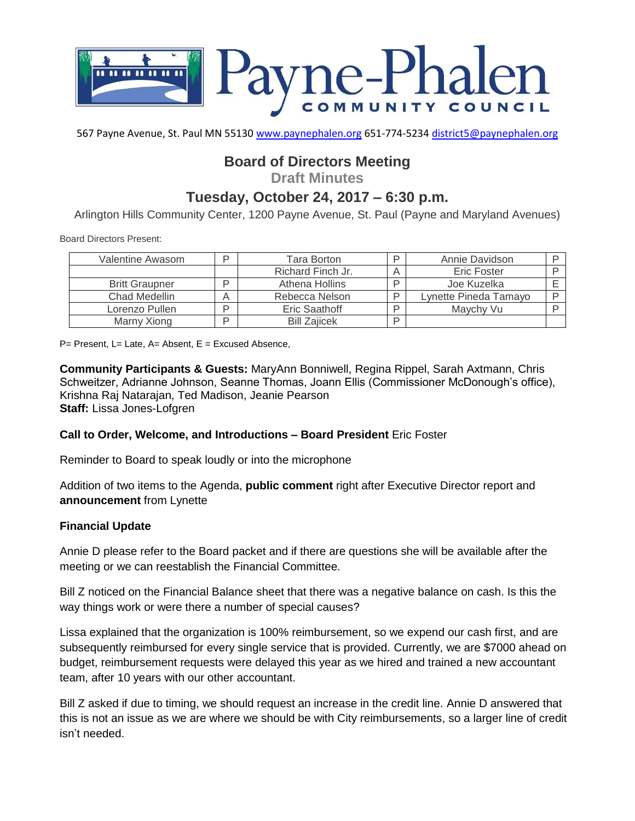

567 Payne Avenue, St. Paul MN 55130 [www.paynephalen.org](http://www.paynephalen.org/) 651-774-5234 [district5@paynephalen.org](mailto:district5@paynephalen.org)

# **Board of Directors Meeting**

**Draft Minutes**

# **Tuesday, October 24, 2017 – 6:30 p.m.**

Arlington Hills Community Center, 1200 Payne Avenue, St. Paul (Payne and Maryland Avenues)

Board Directors Present:

| Valentine Awasom      | D | Tara Borton         | D | Annie Davidson        |  |
|-----------------------|---|---------------------|---|-----------------------|--|
|                       |   | Richard Finch Jr.   |   | <b>Eric Foster</b>    |  |
| <b>Britt Graupner</b> | ח | Athena Hollins      | ח | Joe Kuzelka           |  |
| Chad Medellin         |   | Rebecca Nelson      | D | Lynette Pineda Tamayo |  |
| Lorenzo Pullen        | D | Eric Saathoff       |   | Maychy Vu             |  |
| Marny Xiong           | D | <b>Bill Zaiicek</b> | D |                       |  |

 $P=$  Present, L= Late, A= Absent, E = Excused Absence,

**Community Participants & Guests:** MaryAnn Bonniwell, Regina Rippel, Sarah Axtmann, Chris Schweitzer, Adrianne Johnson, Seanne Thomas, Joann Ellis (Commissioner McDonough's office), Krishna Raj Natarajan, Ted Madison, Jeanie Pearson **Staff:** Lissa Jones-Lofgren

**Call to Order, Welcome, and Introductions – Board President** Eric Foster

Reminder to Board to speak loudly or into the microphone

Addition of two items to the Agenda, **public comment** right after Executive Director report and **announcement** from Lynette

#### **Financial Update**

Annie D please refer to the Board packet and if there are questions she will be available after the meeting or we can reestablish the Financial Committee.

Bill Z noticed on the Financial Balance sheet that there was a negative balance on cash. Is this the way things work or were there a number of special causes?

Lissa explained that the organization is 100% reimbursement, so we expend our cash first, and are subsequently reimbursed for every single service that is provided. Currently, we are \$7000 ahead on budget, reimbursement requests were delayed this year as we hired and trained a new accountant team, after 10 years with our other accountant.

Bill Z asked if due to timing, we should request an increase in the credit line. Annie D answered that this is not an issue as we are where we should be with City reimbursements, so a larger line of credit isn't needed.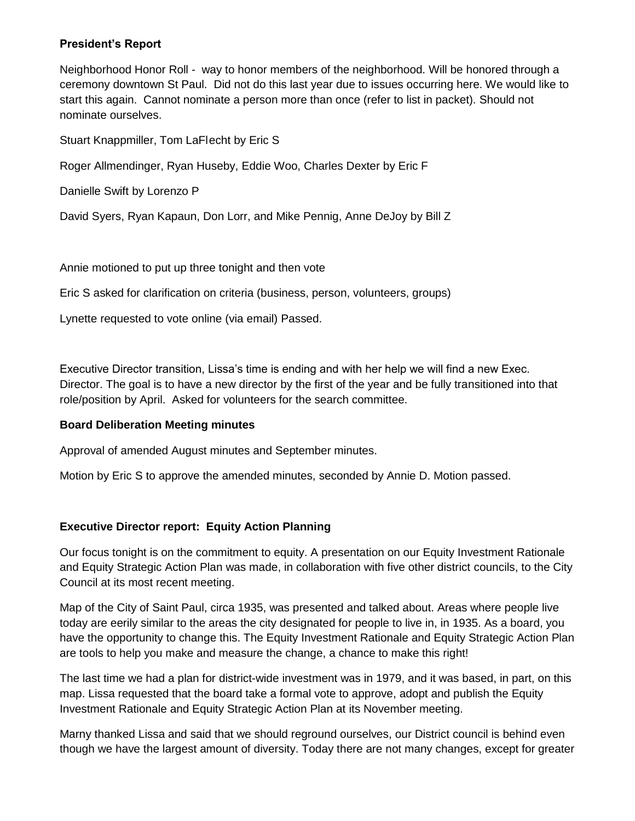### **President's Report**

Neighborhood Honor Roll - way to honor members of the neighborhood. Will be honored through a ceremony downtown St Paul. Did not do this last year due to issues occurring here. We would like to start this again. Cannot nominate a person more than once (refer to list in packet). Should not nominate ourselves.

Stuart Knappmiller, Tom LaFlecht by Eric S

Roger Allmendinger, Ryan Huseby, Eddie Woo, Charles Dexter by Eric F

Danielle Swift by Lorenzo P

David Syers, Ryan Kapaun, Don Lorr, and Mike Pennig, Anne DeJoy by Bill Z

Annie motioned to put up three tonight and then vote

Eric S asked for clarification on criteria (business, person, volunteers, groups)

Lynette requested to vote online (via email) Passed.

Executive Director transition, Lissa's time is ending and with her help we will find a new Exec. Director. The goal is to have a new director by the first of the year and be fully transitioned into that role/position by April. Asked for volunteers for the search committee.

# **Board Deliberation Meeting minutes**

Approval of amended August minutes and September minutes.

Motion by Eric S to approve the amended minutes, seconded by Annie D. Motion passed.

# **Executive Director report: Equity Action Planning**

Our focus tonight is on the commitment to equity. A presentation on our Equity Investment Rationale and Equity Strategic Action Plan was made, in collaboration with five other district councils, to the City Council at its most recent meeting.

Map of the City of Saint Paul, circa 1935, was presented and talked about. Areas where people live today are eerily similar to the areas the city designated for people to live in, in 1935. As a board, you have the opportunity to change this. The Equity Investment Rationale and Equity Strategic Action Plan are tools to help you make and measure the change, a chance to make this right!

The last time we had a plan for district-wide investment was in 1979, and it was based, in part, on this map. Lissa requested that the board take a formal vote to approve, adopt and publish the Equity Investment Rationale and Equity Strategic Action Plan at its November meeting.

Marny thanked Lissa and said that we should reground ourselves, our District council is behind even though we have the largest amount of diversity. Today there are not many changes, except for greater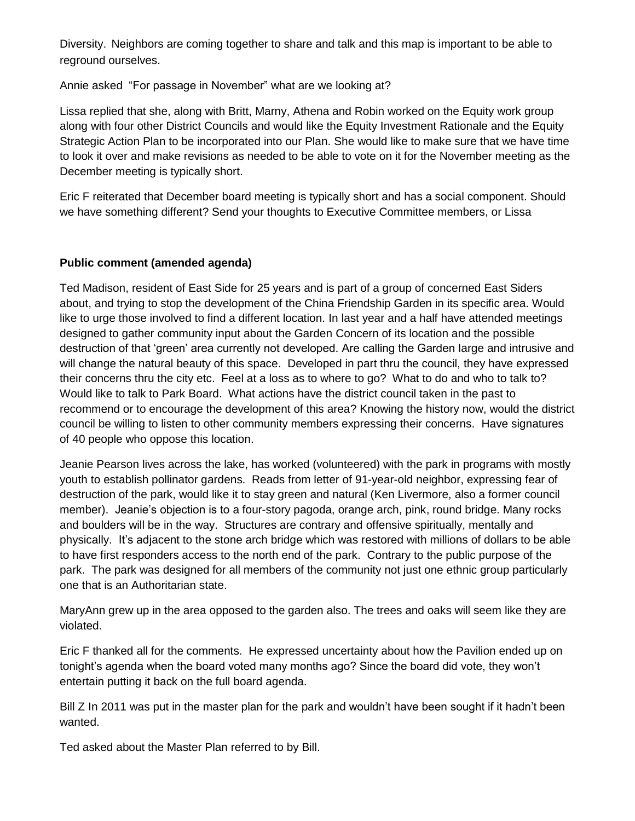Diversity. Neighbors are coming together to share and talk and this map is important to be able to reground ourselves.

Annie asked "For passage in November" what are we looking at?

Lissa replied that she, along with Britt, Marny, Athena and Robin worked on the Equity work group along with four other District Councils and would like the Equity Investment Rationale and the Equity Strategic Action Plan to be incorporated into our Plan. She would like to make sure that we have time to look it over and make revisions as needed to be able to vote on it for the November meeting as the December meeting is typically short.

Eric F reiterated that December board meeting is typically short and has a social component. Should we have something different? Send your thoughts to Executive Committee members, or Lissa

# **Public comment (amended agenda)**

Ted Madison, resident of East Side for 25 years and is part of a group of concerned East Siders about, and trying to stop the development of the China Friendship Garden in its specific area. Would like to urge those involved to find a different location. In last year and a half have attended meetings designed to gather community input about the Garden Concern of its location and the possible destruction of that 'green' area currently not developed. Are calling the Garden large and intrusive and will change the natural beauty of this space. Developed in part thru the council, they have expressed their concerns thru the city etc. Feel at a loss as to where to go? What to do and who to talk to? Would like to talk to Park Board. What actions have the district council taken in the past to recommend or to encourage the development of this area? Knowing the history now, would the district council be willing to listen to other community members expressing their concerns. Have signatures of 40 people who oppose this location.

Jeanie Pearson lives across the lake, has worked (volunteered) with the park in programs with mostly youth to establish pollinator gardens. Reads from letter of 91-year-old neighbor, expressing fear of destruction of the park, would like it to stay green and natural (Ken Livermore, also a former council member). Jeanie's objection is to a four-story pagoda, orange arch, pink, round bridge. Many rocks and boulders will be in the way. Structures are contrary and offensive spiritually, mentally and physically. It's adjacent to the stone arch bridge which was restored with millions of dollars to be able to have first responders access to the north end of the park. Contrary to the public purpose of the park. The park was designed for all members of the community not just one ethnic group particularly one that is an Authoritarian state.

MaryAnn grew up in the area opposed to the garden also. The trees and oaks will seem like they are violated.

Eric F thanked all for the comments. He expressed uncertainty about how the Pavilion ended up on tonight's agenda when the board voted many months ago? Since the board did vote, they won't entertain putting it back on the full board agenda.

Bill Z In 2011 was put in the master plan for the park and wouldn't have been sought if it hadn't been wanted.

Ted asked about the Master Plan referred to by Bill.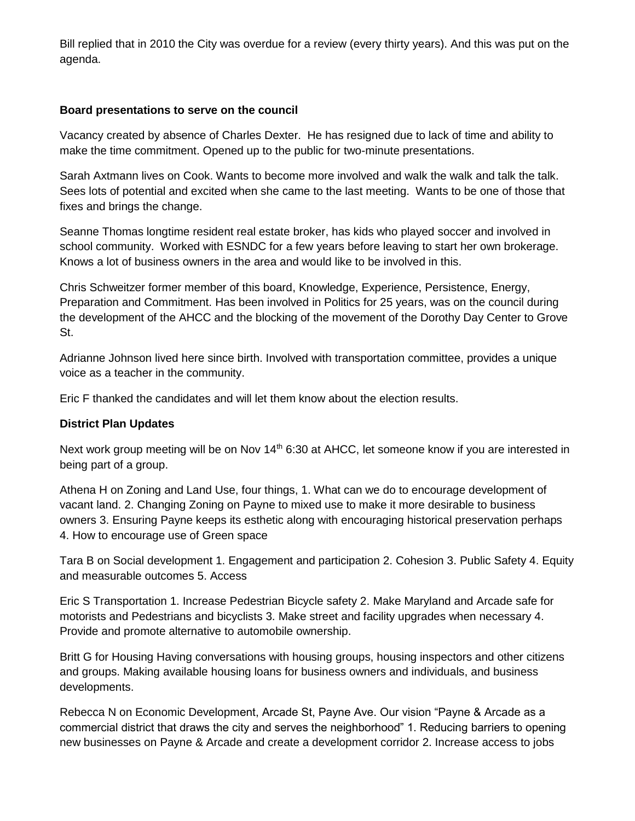Bill replied that in 2010 the City was overdue for a review (every thirty years). And this was put on the agenda.

### **Board presentations to serve on the council**

Vacancy created by absence of Charles Dexter. He has resigned due to lack of time and ability to make the time commitment. Opened up to the public for two-minute presentations.

Sarah Axtmann lives on Cook. Wants to become more involved and walk the walk and talk the talk. Sees lots of potential and excited when she came to the last meeting. Wants to be one of those that fixes and brings the change.

Seanne Thomas longtime resident real estate broker, has kids who played soccer and involved in school community. Worked with ESNDC for a few years before leaving to start her own brokerage. Knows a lot of business owners in the area and would like to be involved in this.

Chris Schweitzer former member of this board, Knowledge, Experience, Persistence, Energy, Preparation and Commitment. Has been involved in Politics for 25 years, was on the council during the development of the AHCC and the blocking of the movement of the Dorothy Day Center to Grove St.

Adrianne Johnson lived here since birth. Involved with transportation committee, provides a unique voice as a teacher in the community.

Eric F thanked the candidates and will let them know about the election results.

#### **District Plan Updates**

Next work group meeting will be on Nov 14<sup>th</sup> 6:30 at AHCC, let someone know if you are interested in being part of a group.

Athena H on Zoning and Land Use, four things, 1. What can we do to encourage development of vacant land. 2. Changing Zoning on Payne to mixed use to make it more desirable to business owners 3. Ensuring Payne keeps its esthetic along with encouraging historical preservation perhaps 4. How to encourage use of Green space

Tara B on Social development 1. Engagement and participation 2. Cohesion 3. Public Safety 4. Equity and measurable outcomes 5. Access

Eric S Transportation 1. Increase Pedestrian Bicycle safety 2. Make Maryland and Arcade safe for motorists and Pedestrians and bicyclists 3. Make street and facility upgrades when necessary 4. Provide and promote alternative to automobile ownership.

Britt G for Housing Having conversations with housing groups, housing inspectors and other citizens and groups. Making available housing loans for business owners and individuals, and business developments.

Rebecca N on Economic Development, Arcade St, Payne Ave. Our vision "Payne & Arcade as a commercial district that draws the city and serves the neighborhood" 1. Reducing barriers to opening new businesses on Payne & Arcade and create a development corridor 2. Increase access to jobs